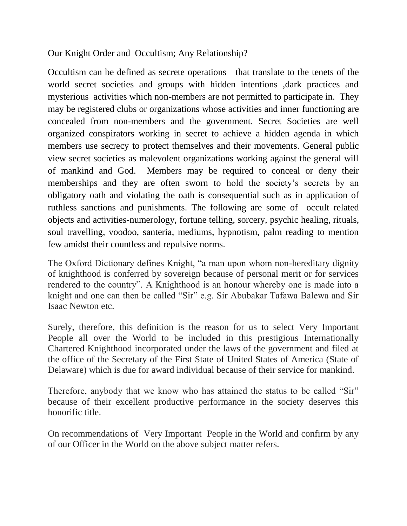Our Knight Order and Occultism; Any Relationship?

Occultism can be defined as secrete operations that translate to the tenets of the world secret societies and groups with hidden intentions ,dark practices and mysterious activities which non-members are not permitted to participate in. They may be registered clubs or organizations whose activities and inner functioning are concealed from non-members and the government. Secret Societies are well organized conspirators working in secret to achieve a hidden agenda in which members use secrecy to protect themselves and their movements. General public view secret societies as malevolent organizations working against the general will of mankind and God. Members may be required to conceal or deny their memberships and they are often sworn to hold the society"s secrets by an obligatory oath and violating the oath is consequential such as in application of ruthless sanctions and punishments. The following are some of occult related objects and activities-numerology, fortune telling, sorcery, psychic healing, rituals, soul travelling, voodoo, santeria, mediums, hypnotism, palm reading to mention few amidst their countless and repulsive norms.

The Oxford Dictionary defines Knight, "a man upon whom non-hereditary dignity of knighthood is conferred by sovereign because of personal merit or for services rendered to the country". A Knighthood is an honour whereby one is made into a knight and one can then be called "Sir" e.g. Sir Abubakar Tafawa Balewa and Sir Isaac Newton etc.

Surely, therefore, this definition is the reason for us to select Very Important People all over the World to be included in this prestigious Internationally Chartered Knighthood incorporated under the laws of the government and filed at the office of the Secretary of the First State of United States of America (State of Delaware) which is due for award individual because of their service for mankind.

Therefore, anybody that we know who has attained the status to be called "Sir" because of their excellent productive performance in the society deserves this honorific title.

On recommendations of Very Important People in the World and confirm by any of our Officer in the World on the above subject matter refers.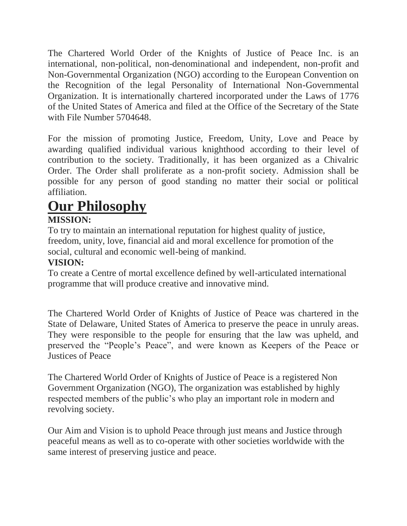The Chartered World Order of the Knights of Justice of Peace Inc. is an international, non-political, non-denominational and independent, non-profit and Non-Governmental Organization (NGO) according to the European Convention on the Recognition of the legal Personality of International Non-Governmental Organization. It is internationally chartered incorporated under the Laws of 1776 of the United States of America and filed at the Office of the Secretary of the State with File Number 5704648.

For the mission of promoting Justice, Freedom, Unity, Love and Peace by awarding qualified individual various knighthood according to their level of contribution to the society. Traditionally, it has been organized as a Chivalric Order. The Order shall proliferate as a non-profit society. Admission shall be possible for any person of good standing no matter their social or political affiliation.

# **Our Philosophy**

# **MISSION:**

To try to maintain an international reputation for highest quality of justice, freedom, unity, love, financial aid and moral excellence for promotion of the social, cultural and economic well-being of mankind.

# **VISION:**

To create a Centre of mortal excellence defined by well-articulated international programme that will produce creative and innovative mind.

The Chartered World Order of Knights of Justice of Peace was chartered in the State of Delaware, United States of America to preserve the peace in unruly areas. They were responsible to the people for ensuring that the law was upheld, and preserved the "People"s Peace", and were known as Keepers of the Peace or Justices of Peace

The Chartered World Order of Knights of Justice of Peace is a registered Non Government Organization (NGO), The organization was established by highly respected members of the public's who play an important role in modern and revolving society.

Our Aim and Vision is to uphold Peace through just means and Justice through peaceful means as well as to co-operate with other societies worldwide with the same interest of preserving justice and peace.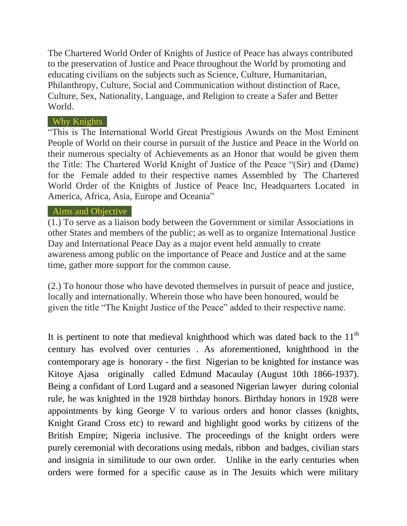The Chartered World Order of Knights of Justice of Peace has always contributed to the preservation of Justice and Peace throughout the World by promoting and educating civilians on the subjects such as Science, Culture, Humanitarian, Philanthropy, Culture, Social and Communication without distinction of Race, Culture, Sex, Nationality, Language, and Religion to create a Safer and Better World.

### Why Knights

"This is The International World Great Prestigious Awards on the Most Eminent People of World on their course in pursuit of the Justice and Peace in the World on their numerous specialty of Achievements as an Honor that would be given them the Title: The Chartered World Knight of Justice of the Peace "(Sir) and (Dame) for the Female added to their respective names Assembled by The Chartered World Order of the Knights of Justice of Peace Inc, Headquarters Located in America, Africa, Asia, Europe and Oceania"

### Aims and Objective

(1.) To serve as a liaison body between the Government or similar Associations in other States and members of the public; as well as to organize International Justice Day and International Peace Day as a major event held annually to create awareness among public on the importance of Peace and Justice and at the same time, gather more support for the common cause.

(2.) To honour those who have devoted themselves in pursuit of peace and justice, locally and internationally. Wherein those who have been honoured, would be given the title "The Knight Justice of the Peace" added to their respective name.

It is pertinent to note that medieval knighthood which was dated back to the  $11<sup>th</sup>$ century has evolved over centuries . As aforementioned, knighthood in the contemporary age is honorary - the first Nigerian to be knighted for instance was Kitoye Ajasa originally called Edmund Macaulay (August 10th 1866-1937). Being a confidant of Lord Lugard and a seasoned Nigerian lawyer during colonial rule, he was knighted in the 1928 birthday honors. Birthday honors in 1928 were appointments by king George V to various orders and honor classes (knights, Knight Grand Cross etc) to reward and highlight good works by citizens of the British Empire; Nigeria inclusive. The proceedings of the knight orders were purely ceremonial with decorations using medals, ribbon and badges, civilian stars and insignia in similitude to our own order. Unlike in the early centuries when orders were formed for a specific cause as in The Jesuits which were military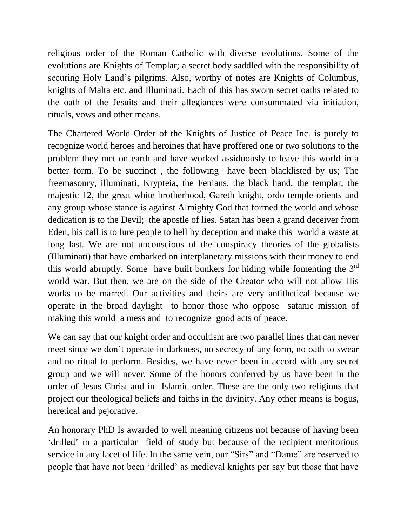religious order of the Roman Catholic with diverse evolutions. Some of the evolutions are Knights of Templar; a secret body saddled with the responsibility of securing Holy Land"s pilgrims. Also, worthy of notes are Knights of Columbus, knights of Malta etc. and Illuminati. Each of this has sworn secret oaths related to the oath of the Jesuits and their allegiances were consummated via initiation, rituals, vows and other means.

The Chartered World Order of the Knights of Justice of Peace Inc. is purely to recognize world heroes and heroines that have proffered one or two solutions to the problem they met on earth and have worked assiduously to leave this world in a better form. To be succinct , the following have been blacklisted by us; The freemasonry, illuminati, Krypteia, the Fenians, the black hand, the templar, the majestic 12, the great white brotherhood, Gareth knight, ordo temple orients and any group whose stance is against Almighty God that formed the world and whose dedication is to the Devil; the apostle of lies. Satan has been a grand deceiver from Eden, his call is to lure people to hell by deception and make this world a waste at long last. We are not unconscious of the conspiracy theories of the globalists (Illuminati) that have embarked on interplanetary missions with their money to end this world abruptly. Some have built bunkers for hiding while fomenting the  $3<sup>rd</sup>$ world war. But then, we are on the side of the Creator who will not allow His works to be marred. Our activities and theirs are very antithetical because we operate in the broad daylight to honor those who oppose satanic mission of making this world a mess and to recognize good acts of peace.

We can say that our knight order and occultism are two parallel lines that can never meet since we don't operate in darkness, no secrecy of any form, no oath to swear and no ritual to perform. Besides, we have never been in accord with any secret group and we will never. Some of the honors conferred by us have been in the order of Jesus Christ and in Islamic order. These are the only two religions that project our theological beliefs and faiths in the divinity. Any other means is bogus, heretical and pejorative.

An honorary PhD Is awarded to well meaning citizens not because of having been "drilled" in a particular field of study but because of the recipient meritorious service in any facet of life. In the same vein, our "Sirs" and "Dame" are reserved to people that have not been "drilled" as medieval knights per say but those that have